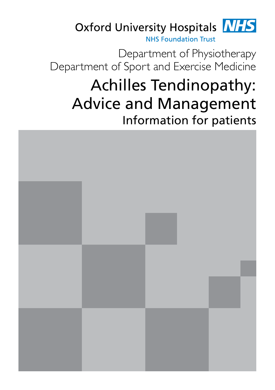

Department of Physiotherapy Department of Sport and Exercise Medicine

# Achilles Tendinopathy: Advice and Management Information for patients

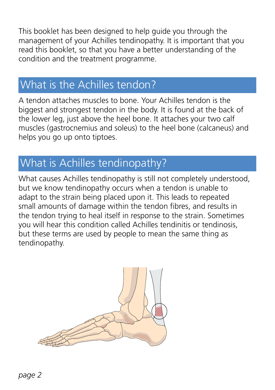This booklet has been designed to help guide you through the management of your Achilles tendinopathy. It is important that you read this booklet, so that you have a better understanding of the condition and the treatment programme.

### What is the Achilles tendon?

A tendon attaches muscles to bone. Your Achilles tendon is the biggest and strongest tendon in the body. It is found at the back of the lower leg, just above the heel bone. It attaches your two calf muscles (gastrocnemius and soleus) to the heel bone (calcaneus) and helps you go up onto tiptoes.

# What is Achilles tendinopathy?

What causes Achilles tendinopathy is still not completely understood, but we know tendinopathy occurs when a tendon is unable to adapt to the strain being placed upon it. This leads to repeated small amounts of damage within the tendon fibres, and results in the tendon trying to heal itself in response to the strain. Sometimes you will hear this condition called Achilles tendinitis or tendinosis, but these terms are used by people to mean the same thing as tendinopathy.

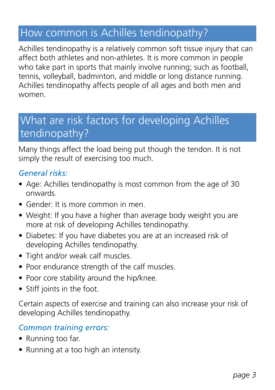### How common is Achilles tendinopathy?

Achilles tendinopathy is a relatively common soft tissue injury that can affect both athletes and non-athletes. It is more common in people who take part in sports that mainly involve running; such as football, tennis, volleyball, badminton, and middle or long distance running. Achilles tendinopathy affects people of all ages and both men and women.

### What are risk factors for developing Achilles tendinopathy?

Many things affect the load being put though the tendon. It is not simply the result of exercising too much.

#### *General risks:*

- Age: Achilles tendinopathy is most common from the age of 30 onwards.
- Gender: It is more common in men.
- Weight: If you have a higher than average body weight you are more at risk of developing Achilles tendinopathy.
- Diabetes: If you have diabetes you are at an increased risk of developing Achilles tendinopathy.
- Tight and/or weak calf muscles.
- Poor endurance strength of the calf muscles.
- Poor core stability around the hip/knee.
- Stiff joints in the foot.

Certain aspects of exercise and training can also increase your risk of developing Achilles tendinopathy.

#### *Common training errors:*

- Running too far.
- Running at a too high an intensity.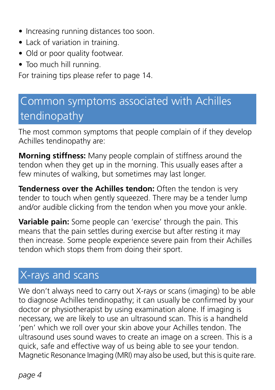- Increasing running distances too soon.
- Lack of variation in training.
- Old or poor quality footwear.
- Too much hill running.

For training tips please refer to page 14.

# Common symptoms associated with Achilles tendinopathy

The most common symptoms that people complain of if they develop Achilles tendinopathy are:

**Morning stiffness:** Many people complain of stiffness around the tendon when they get up in the morning. This usually eases after a few minutes of walking, but sometimes may last longer.

**Tenderness over the Achilles tendon:** Often the tendon is very tender to touch when gently squeezed. There may be a tender lump and/or audible clicking from the tendon when you move your ankle.

**Variable pain:** Some people can 'exercise' through the pain. This means that the pain settles during exercise but after resting it may then increase. Some people experience severe pain from their Achilles tendon which stops them from doing their sport.

# X-rays and scans

We don't always need to carry out X-rays or scans (imaging) to be able to diagnose Achilles tendinopathy; it can usually be confirmed by your doctor or physiotherapist by using examination alone. If imaging is necessary, we are likely to use an ultrasound scan. This is a handheld 'pen' which we roll over your skin above your Achilles tendon. The ultrasound uses sound waves to create an image on a screen. This is a quick, safe and effective way of us being able to see your tendon. Magnetic Resonance Imaging (MRI) may also be used, but this is quite rare.

*page 4*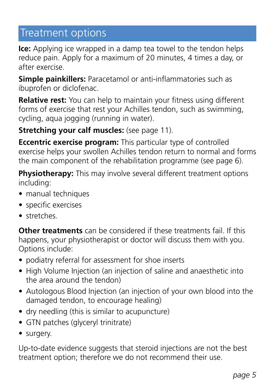### Treatment options

**Ice:** Applying ice wrapped in a damp tea towel to the tendon helps reduce pain. Apply for a maximum of 20 minutes, 4 times a day, or after exercise.

**Simple painkillers:** Paracetamol or anti-inflammatories such as ibuprofen or diclofenac.

**Relative rest:** You can help to maintain your fitness using different forms of exercise that rest your Achilles tendon, such as swimming, cycling, aqua jogging (running in water).

**Stretching your calf muscles:** (see page 11).

**Eccentric exercise program:** This particular type of controlled exercise helps your swollen Achilles tendon return to normal and forms the main component of the rehabilitation programme (see page 6).

**Physiotherapy:** This may involve several different treatment options including:

- manual techniques
- specific exercises
- stretches

**Other treatments** can be considered if these treatments fail. If this happens, your physiotherapist or doctor will discuss them with you. Options include:

- podiatry referral for assessment for shoe inserts
- High Volume Injection (an injection of saline and anaesthetic into the area around the tendon)
- Autologous Blood Injection (an injection of your own blood into the damaged tendon, to encourage healing)
- dry needling (this is similar to acupuncture)
- GTN patches (glyceryl trinitrate)
- surgery.

Up-to-date evidence suggests that steroid injections are not the best treatment option; therefore we do not recommend their use.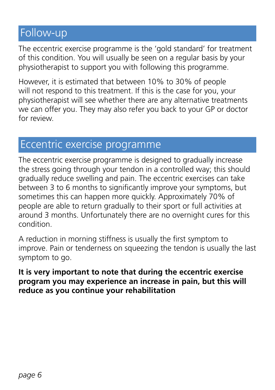### Follow-up

The eccentric exercise programme is the 'gold standard' for treatment of this condition. You will usually be seen on a regular basis by your physiotherapist to support you with following this programme.

However, it is estimated that between 10% to 30% of people will not respond to this treatment. If this is the case for you, your physiotherapist will see whether there are any alternative treatments we can offer you. They may also refer you back to your GP or doctor for review.

### Eccentric exercise programme

The eccentric exercise programme is designed to gradually increase the stress going through your tendon in a controlled way; this should gradually reduce swelling and pain. The eccentric exercises can take between 3 to 6 months to significantly improve your symptoms, but sometimes this can happen more quickly. Approximately 70% of people are able to return gradually to their sport or full activities at around 3 months. Unfortunately there are no overnight cures for this condition.

A reduction in morning stiffness is usually the first symptom to improve. Pain or tenderness on squeezing the tendon is usually the last symptom to go.

#### **It is very important to note that during the eccentric exercise program you may experience an increase in pain, but this will reduce as you continue your rehabilitation**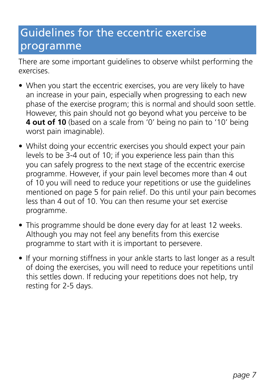# Guidelines for the eccentric exercise programme

There are some important guidelines to observe whilst performing the exercises.

- When you start the eccentric exercises, you are very likely to have an increase in your pain, especially when progressing to each new phase of the exercise program; this is normal and should soon settle. However, this pain should not go beyond what you perceive to be **4 out of 10** (based on a scale from '0' being no pain to '10' being worst pain imaginable).
- Whilst doing your eccentric exercises you should expect your pain levels to be 3-4 out of 10; if you experience less pain than this you can safely progress to the next stage of the eccentric exercise programme. However, if your pain level becomes more than 4 out of 10 you will need to reduce your repetitions or use the guidelines mentioned on page 5 for pain relief. Do this until your pain becomes less than 4 out of 10. You can then resume your set exercise programme.
- This programme should be done every day for at least 12 weeks. Although you may not feel any benefits from this exercise programme to start with it is important to persevere.
- If your morning stiffness in your ankle starts to last longer as a result of doing the exercises, you will need to reduce your repetitions until this settles down. If reducing your repetitions does not help, try resting for 2-5 days.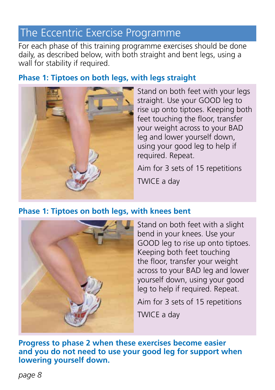### The Eccentric Exercise Programme

For each phase of this training programme exercises should be done daily, as described below, with both straight and bent legs, using a wall for stability if required.

#### **Phase 1: Tiptoes on both legs, with legs straight**



Stand on both feet with your legs straight. Use your GOOD leg to rise up onto tiptoes. Keeping both feet touching the floor, transfer your weight across to your BAD leg and lower yourself down, using your good leg to help if required. Repeat.

Aim for 3 sets of 15 repetitions TWICE a day

#### **Phase 1: Tiptoes on both legs, with knees bent**



Stand on both feet with a slight bend in your knees. Use your GOOD leg to rise up onto tiptoes. Keeping both feet touching the floor, transfer your weight across to your BAD leg and lower yourself down, using your good leg to help if required. Repeat.

Aim for 3 sets of 15 repetitions

TWICE a day

**Progress to phase 2 when these exercises become easier and you do not need to use your good leg for support when lowering yourself down.**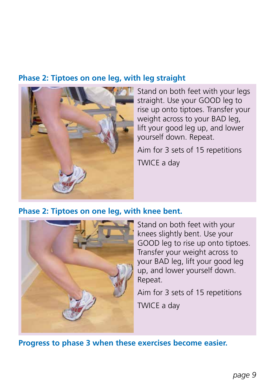#### **Phase 2: Tiptoes on one leg, with leg straight**



Stand on both feet with your legs straight. Use your GOOD leg to rise up onto tiptoes. Transfer your weight across to your BAD leg, lift your good leg up, and lower yourself down. Repeat.

Aim for 3 sets of 15 repetitions

TWICE a day

#### **Phase 2: Tiptoes on one leg, with knee bent.**



Stand on both feet with your knees slightly bent. Use your GOOD leg to rise up onto tiptoes. Transfer your weight across to your BAD leg, lift your good leg up, and lower yourself down. Repeat.

Aim for 3 sets of 15 repetitions

TWICE a day

**Progress to phase 3 when these exercises become easier.**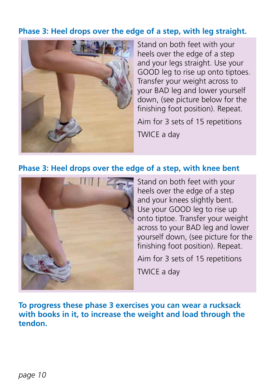#### **Phase 3: Heel drops over the edge of a step, with leg straight.**



Stand on both feet with your heels over the edge of a step and your legs straight. Use your GOOD leg to rise up onto tiptoes. Transfer your weight across to your BAD leg and lower yourself down, (see picture below for the finishing foot position). Repeat.

Aim for 3 sets of 15 repetitions TWICE a day

#### **Phase 3: Heel drops over the edge of a step, with knee bent**



Stand on both feet with your heels over the edge of a step and your knees slightly bent. Use your GOOD leg to rise up onto tiptoe. Transfer your weight across to your BAD leg and lower yourself down, (see picture for the finishing foot position). Repeat.

Aim for 3 sets of 15 repetitions

TWICE a day

**To progress these phase 3 exercises you can wear a rucksack with books in it, to increase the weight and load through the tendon.**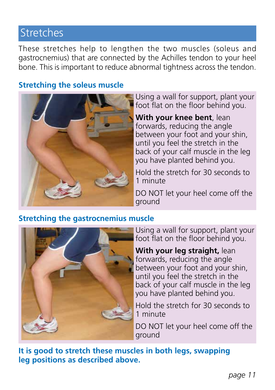### Stretches

These stretches help to lengthen the two muscles (soleus and gastrocnemius) that are connected by the Achilles tendon to your heel bone. This is important to reduce abnormal tightness across the tendon.

#### **Stretching the soleus muscle**



Using a wall for support, plant your foot flat on the floor behind you.

**With your knee bent**, lean forwards, reducing the angle between your foot and your shin, until you feel the stretch in the back of your calf muscle in the leg you have planted behind you.

Hold the stretch for 30 seconds to 1 minute

DO NOT let your heel come off the ground

#### **Stretching the gastrocnemius muscle**



Using a wall for support, plant your foot flat on the floor behind you.

**With your leg straight,** lean forwards, reducing the angle between your foot and your shin, until you feel the stretch in the back of your calf muscle in the leg you have planted behind you.

Hold the stretch for 30 seconds to 1 minute

DO NOT let your heel come off the ground

**It is good to stretch these muscles in both legs, swapping leg positions as described above.**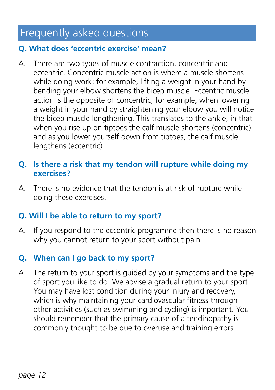### Frequently asked questions

#### **Q. What does 'eccentric exercise' mean?**

A. There are two types of muscle contraction, concentric and eccentric. Concentric muscle action is where a muscle shortens while doing work; for example, lifting a weight in your hand by bending your elbow shortens the bicep muscle. Eccentric muscle action is the opposite of concentric; for example, when lowering a weight in your hand by straightening your elbow you will notice the bicep muscle lengthening. This translates to the ankle, in that when you rise up on tiptoes the calf muscle shortens (concentric) and as you lower yourself down from tiptoes, the calf muscle lengthens (eccentric).

#### **Q. Is there a risk that my tendon will rupture while doing my exercises?**

A. There is no evidence that the tendon is at risk of rupture while doing these exercises.

#### **Q. Will I be able to return to my sport?**

A. If you respond to the eccentric programme then there is no reason why you cannot return to your sport without pain.

#### **Q. When can I go back to my sport?**

A. The return to your sport is guided by your symptoms and the type of sport you like to do. We advise a gradual return to your sport. You may have lost condition during your injury and recovery, which is why maintaining your cardiovascular fitness through other activities (such as swimming and cycling) is important. You should remember that the primary cause of a tendinopathy is commonly thought to be due to overuse and training errors.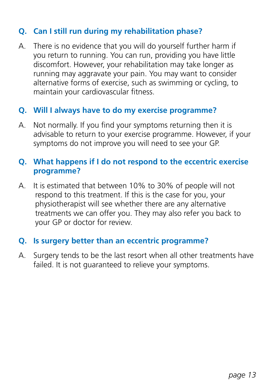#### **Q. Can I still run during my rehabilitation phase?**

A. There is no evidence that you will do yourself further harm if you return to running. You can run, providing you have little discomfort. However, your rehabilitation may take longer as running may aggravate your pain. You may want to consider alternative forms of exercise, such as swimming or cycling, to maintain your cardiovascular fitness.

#### **Q. Will I always have to do my exercise programme?**

A. Not normally. If you find your symptoms returning then it is advisable to return to your exercise programme. However, if your symptoms do not improve you will need to see your GP.

#### **Q. What happens if I do not respond to the eccentric exercise programme?**

A. It is estimated that between 10% to 30% of people will not respond to this treatment. If this is the case for you, your physiotherapist will see whether there are any alternative treatments we can offer you. They may also refer you back to your GP or doctor for review.

#### **Q. Is surgery better than an eccentric programme?**

A. Surgery tends to be the last resort when all other treatments have failed. It is not guaranteed to relieve your symptoms.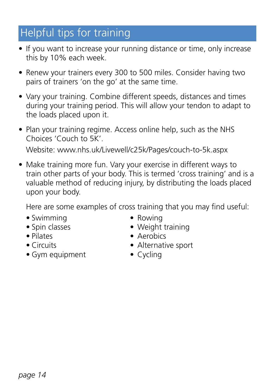# Helpful tips for training

- If you want to increase your running distance or time, only increase this by 10% each week.
- Renew your trainers every 300 to 500 miles. Consider having two pairs of trainers 'on the go' at the same time.
- Vary your training. Combine different speeds, distances and times during your training period. This will allow your tendon to adapt to the loads placed upon it.
- Plan your training regime. Access online help, such as the NHS Choices 'Couch to 5K'. Website: www.nhs.uk/Livewell/c25k/Pages/couch-to-5k.aspx
- Make training more fun. Vary your exercise in different ways to train other parts of your body. This is termed 'cross training' and is a valuable method of reducing injury, by distributing the loads placed upon your body.

Here are some examples of cross training that you may find useful:

- Swimming Rowing
- 
- 
- 
- Gym equipment Cycling
- 
- Spin classes Weight training
- Pilates Aerobics
- Circuits Alternative sport
	-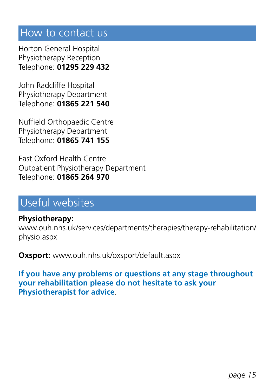### How to contact us

Horton General Hospital Physiotherapy Reception Telephone: **01295 229 432**

John Radcliffe Hospital Physiotherapy Department Telephone: **01865 221 540**

Nuffield Orthopaedic Centre Physiotherapy Department Telephone: **01865 741 155**

East Oxford Health Centre Outpatient Physiotherapy Department Telephone: **01865 264 970**

### Useful websites

**Physiotherapy:** www.ouh.nhs.uk/services/departments/therapies/therapy-rehabilitation/ physio.aspx

**Oxsport:** www.ouh.nhs.uk/oxsport/default.aspx

**If you have any problems or questions at any stage throughout your rehabilitation please do not hesitate to ask your Physiotherapist for advice**.